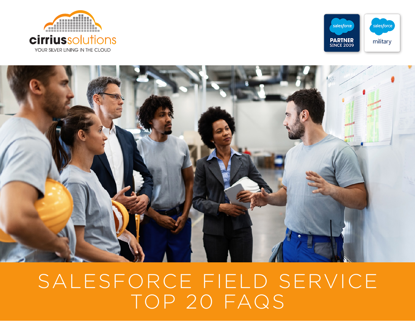





# SALESFORCE FIELD SERVICE TOP 20 FAQS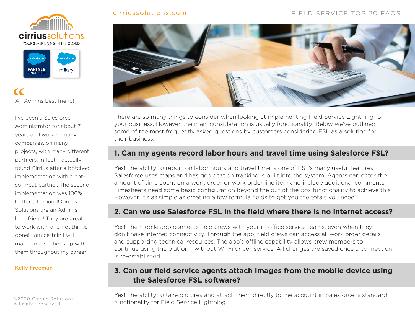#### cirriussolutions.com FIELD SERVICE TOP 20 FAQS





An Admins best friend!  $C$  An  $\overline{A}$ 

I've been a Salesforce Administrator for about 7 years and worked many companies, on many projects, with many different partners. In fact, I actually found Cirrius after a botched implementation with a notso-great partner. The second implementation was 100% better all around! Cirrius Solutions are an Admins best friend! They are great to work with, and get things done! I am certain I will maintain a relationship with them throughout my career!

#### Kelly Freeman

©2020 Cirrius Solutions. All rights reserved.



There are so many things to consider when looking at implementing Field Service Lightning for your business. However, the main consideration is usually functionality! Below we've outlined some of the most frequently asked questions by customers considering FSL as a solution for their business.

#### **1. Can my agents record labor hours and travel time using Salesforce FSL?**

Yes! The ability to report on labor hours and travel time is one of FSL's many useful features. Salesforce uses maps and has geolocation tracking is built into the system. Agents can enter the amount of time spent on a work order or work order line item and include additional comments. Timesheets need some basic configuration beyond the out of the box functionality to achieve this. However, it's as simple as creating a few formula fields to get you the totals you need.

#### **2. Can we use Salesforce FSL in the field where there is no internet access?**

Yes! The mobile app connects field crews with your in-office service teams, even when they don't have internet connectivity. Through the app, field crews can access all work order details and supporting technical resources. The app's offline capability allows crew members to continue using the platform without Wi-Fi or cell service. All changes are saved once a connection is re-established.

#### **3. Can our field service agents attach Images from the mobile device using the Salesforce FSL software?**

Yes! The ability to take pictures and attach them directly to the account in Salesforce is standard functionality for Field Service Lightning.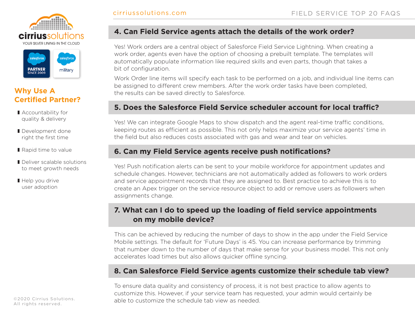



#### **Why Use A Certified Partner?**

- Accountability for quality & delivery
- Development done right the first time
- Rapid time to value
- Deliver scalable solutions to meet growth needs
- Help you drive user adoption

#### ©2020 Cirrius Solutions. All rights reserved.

#### **4. Can Field Service agents attach the details of the work order?**

Yes! Work orders are a central object of Salesforce Field Service Lightning. When creating a work order, agents even have the option of choosing a prebuilt template. The templates will automatically populate information like required skills and even parts, though that takes a bit of configuration.

Work Order line items will specify each task to be performed on a job, and individual line items can be assigned to different crew members. After the work order tasks have been completed, the results can be saved directly to Salesforce.

#### **5. Does the Salesforce Field Service scheduler account for local traffic?**

Yes! We can integrate Google Maps to show dispatch and the agent real-time traffic conditions, keeping routes as efficient as possible. This not only helps maximize your service agents' time in the field but also reduces costs associated with gas and wear and tear on vehicles.

#### **6. Can my Field Service agents receive push notifications?**

Yes! Push notification alerts can be sent to your mobile workforce for appointment updates and schedule changes. However, technicians are not automatically added as followers to work orders and service appointment records that they are assigned to. Best practice to achieve this is to create an Apex trigger on the service resource object to add or remove users as followers when assignments change.

#### **7. What can I do to speed up the loading of field service appointments on my mobile device?**

This can be achieved by reducing the number of days to show in the app under the Field Service Mobile settings. The default for 'Future Days' is 45. You can increase performance by trimming that number down to the number of days that make sense for your business model. This not only accelerates load times but also allows quicker offline syncing.

#### **8. Can Salesforce Field Service agents customize their schedule tab view?**

To ensure data quality and consistency of process, it is not best practice to allow agents to customize this. However, if your service team has requested, your admin would certainly be able to customize the schedule tab view as needed.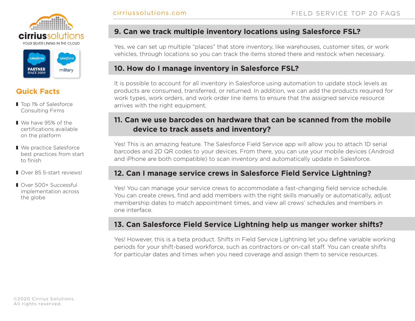



### **Quick Facts**

- Top 1% of Salesforce Consulting Firms
- We have 95% of the certifications available on the platform
- We practice Salesforce best practices from start to finish
- Over 85 5-start reviews!
- Over 500+ Successful implementation across the globe

#### **9. Can we track multiple inventory locations using Salesforce FSL?**

Yes, we can set up multiple "places" that store inventory, like warehouses, customer sites, or work vehicles, through locations so you can track the items stored there and restock when necessary.

#### **10. How do I manage inventory in Salesforce FSL?**

It is possible to account for all inventory in Salesforce using automation to update stock levels as products are consumed, transferred, or returned. In addition, we can add the products required for work types, work orders, and work order line items to ensure that the assigned service resource arrives with the right equipment.

#### **11. Can we use barcodes on hardware that can be scanned from the mobile device to track assets and inventory?**

Yes! This is an amazing feature. The Salesforce Field Service app will allow you to attach 1D serial barcodes and 2D QR codes to your devices. From there, you can use your mobile devices (Android and iPhone are both compatible) to scan inventory and automatically update in Salesforce.

#### **12. Can I manage service crews in Salesforce Field Service Lightning?**

Yes! You can manage your service crews to accommodate a fast-changing field service schedule. You can create crews, find and add members with the right skills manually or automatically, adjust membership dates to match appointment times, and view all crews' schedules and members in one interface.

#### **13. Can Salesforce Field Service Lightning help us manger worker shifts?**

Yes! However, this is a beta product. Shifts in Field Service Lightning let you define variable working periods for your shift-based workforce, such as contractors or on-call staff. You can create shifts for particular dates and times when you need coverage and assign them to service resources.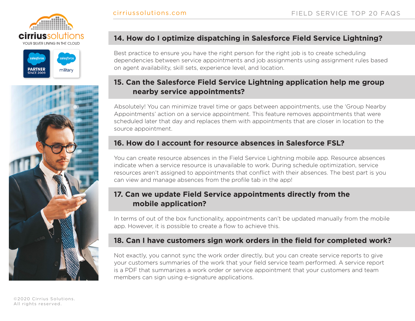





#### **14. How do I optimize dispatching in Salesforce Field Service Lightning?**

Best practice to ensure you have the right person for the right job is to create scheduling dependencies between service appointments and job assignments using assignment rules based on agent availability, skill sets, experience level, and location.

#### **15. Can the Salesforce Field Service Lightning application help me group nearby service appointments?**

Absolutely! You can minimize travel time or gaps between appointments, use the 'Group Nearby Appointments' action on a service appointment. This feature removes appointments that were scheduled later that day and replaces them with appointments that are closer in location to the source appointment.

#### **16. How do I account for resource absences in Salesforce FSL?**

You can create resource absences in the Field Service Lightning mobile app. Resource absences indicate when a service resource is unavailable to work. During schedule optimization, service resources aren't assigned to appointments that conflict with their absences. The best part is you can view and manage absences from the profile tab in the app!

#### **17. Can we update Field Service appointments directly from the mobile application?**

In terms of out of the box functionality, appointments can't be updated manually from the mobile app. However, it is possible to create a flow to achieve this.

#### **18. Can I have customers sign work orders in the field for completed work?**

Not exactly, you cannot sync the work order directly, but you can create service reports to give your customers summaries of the work that your field service team performed. A service report is a PDF that summarizes a work order or service appointment that your customers and team members can sign using e-signature applications.